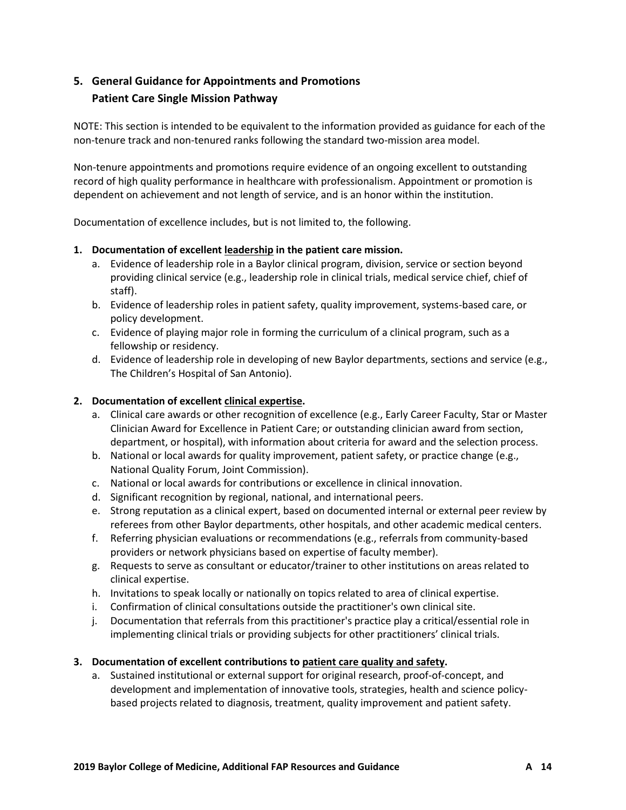# **5. General Guidance for Appointments and Promotions Patient Care Single Mission Pathway**

NOTE: This section is intended to be equivalent to the information provided as guidance for each of the non-tenure track and non-tenured ranks following the standard two-mission area model.

Non-tenure appointments and promotions require evidence of an ongoing excellent to outstanding record of high quality performance in healthcare with professionalism. Appointment or promotion is dependent on achievement and not length of service, and is an honor within the institution.

Documentation of excellence includes, but is not limited to, the following.

## **1. Documentation of excellent leadership in the patient care mission.**

- a. Evidence of leadership role in a Baylor clinical program, division, service or section beyond providing clinical service (e.g., leadership role in clinical trials, medical service chief, chief of staff).
- b. Evidence of leadership roles in patient safety, quality improvement, systems-based care, or policy development.
- c. Evidence of playing major role in forming the curriculum of a clinical program, such as a fellowship or residency.
- d. Evidence of leadership role in developing of new Baylor departments, sections and service (e.g., The Children's Hospital of San Antonio).

## **2. Documentation of excellent clinical expertise.**

- a. Clinical care awards or other recognition of excellence (e.g., Early Career Faculty, Star or Master Clinician Award for Excellence in Patient Care; or outstanding clinician award from section, department, or hospital), with information about criteria for award and the selection process.
- b. National or local awards for quality improvement, patient safety, or practice change (e.g., National Quality Forum, Joint Commission).
- c. National or local awards for contributions or excellence in clinical innovation.
- d. Significant recognition by regional, national, and international peers.
- e. Strong reputation as a clinical expert, based on documented internal or external peer review by referees from other Baylor departments, other hospitals, and other academic medical centers.
- f. Referring physician evaluations or recommendations (e.g., referrals from community-based providers or network physicians based on expertise of faculty member).
- g. Requests to serve as consultant or educator/trainer to other institutions on areas related to clinical expertise.
- h. Invitations to speak locally or nationally on topics related to area of clinical expertise.
- i. Confirmation of clinical consultations outside the practitioner's own clinical site.
- j. Documentation that referrals from this practitioner's practice play a critical/essential role in implementing clinical trials or providing subjects for other practitioners' clinical trials.

### **3. Documentation of excellent contributions to patient care quality and safety.**

a. Sustained institutional or external support for original research, proof-of-concept, and development and implementation of innovative tools, strategies, health and science policybased projects related to diagnosis, treatment, quality improvement and patient safety.